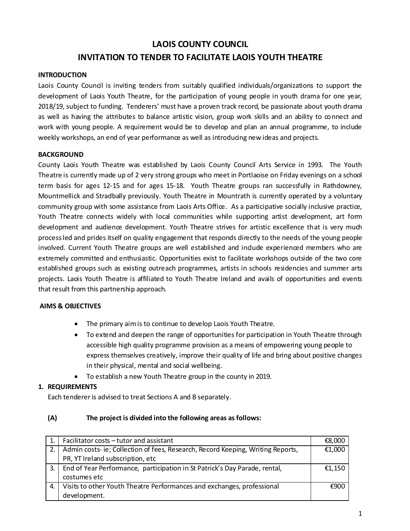# **LAOIS COUNTY COUNCIL INVITATION TO TENDER TO FACILITATE LAOIS YOUTH THEATRE**

#### **INTRODUCTION**

Laois County Council is inviting tenders from suitably qualified individuals/organizations to support the development of Laois Youth Theatre, for the participation of young people in youth drama for one year, 2018/19, subject to funding. Tenderers' must have a proven track record, be passionate about youth drama as well as having the attributes to balance artistic vision, group work skills and an ability to connect and work with young people. A requirement would be to develop and plan an annual programme, to include weekly workshops, an end of year performance as well as introducing new ideas and projects.

#### **BACKGROUND**

County Laois Youth Theatre was established by Laois County Council Arts Service in 1993. The Youth Theatre is currently made up of 2 very strong groups who meet in Portlaoise on Friday evenings on a school term basis for ages 12-15 and for ages 15-18. Youth Theatre groups ran successfully in Rathdowney, Mountmellick and Stradbally previously. Youth Theatre in Mountrath is currently operated by a voluntary community group with some assistance from Laois Arts Office. As a participative socially inclusive practice, Youth Theatre connects widely with local communities while supporting artist development, art form development and audience development. Youth Theatre strives for artistic excellence that is very much process led and prides itself on quality engagement that responds directly to the needs of the young people involved. Current Youth Theatre groups are well established and indude experienced members who are extremely committed and enthusiastic. Opportunities exist to facilitate workshops outside of the two core established groups such as existing outreach programmes, artists in schools residencies and summer arts projects. Laois Youth Theatre is affiliated to Youth Theatre Ireland and avails of opportunities and events that result from this partnership approach.

#### **AIMS & OBJECTIVES**

- The primary aimis to continue to develop Laois Youth Theatre.
- To extend and deepen the range of opportunities for participation in Youth Theatre through accessible high quality programme provision as a means of empowering young people to express themselves creatively, improve their quality of life and bring about positive changes in their physical, mental and social wellbeing.
- To establish a new Youth Theatre group in the county in 2019.

## **1. REQUIREMENTS**

Each tenderer is advised to treat Sections A and B separately.

#### **(A) The project is divided into the following areas as follows:**

|    | Facilitator costs – tutor and assistant                                         | €8,000 |
|----|---------------------------------------------------------------------------------|--------|
|    | Admin costs- ie; Collection of fees, Research, Record Keeping, Writing Reports, | €1,000 |
|    | PR, YT Ireland subscription, etc                                                |        |
| 3. | End of Year Performance, participation in St Patrick's Day Parade, rental,      | €1,150 |
|    | costumes etc                                                                    |        |
| 4. | Visits to other Youth Theatre Performances and exchanges, professional          | €900   |
|    | development.                                                                    |        |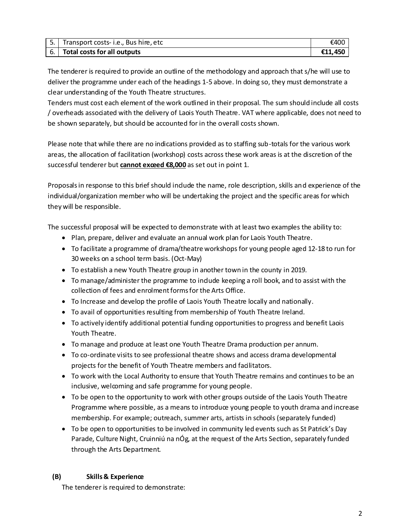| 5. Transport costs-i.e., Bus hire, etc | €400    |
|----------------------------------------|---------|
| 6. Total costs for all outputs         | €11.450 |

The tenderer is required to provide an outline of the methodology and approach that s/he will use to deliver the programme under each of the headings 1-5 above. In doing so, they must demonstrate a clear understanding of the Youth Theatre structures.

Tenders must cost each element of the work outlined in their proposal. The sum should include all costs / overheads associated with the delivery of Laois Youth Theatre. VAT where applicable, does not need to be shown separately, but should be accounted for in the overall costs shown.

Please note that while there are no indications provided as to staffing sub-totals for the various work areas, the allocation of facilitation (workshop) costs across these work areas is at the discretion of the successful tenderer but **cannot exceed €8,000** as set out in point 1.

Proposals in response to this brief should indude the name, role description, skills and experience of the individual/organization member who will be undertaking the project and the specific areas for which they will be responsible.

The successful proposal will be expected to demonstrate with at least two examples the ability to:

- Plan, prepare, deliver and evaluate an annual work plan for Laois Youth Theatre.
- To facilitate a programme of drama/theatre workshopsfor young people aged 12-18 to run for 30 weeks on a school term basis. (Oct-May)
- To establish a new Youth Theatre group in another town in the county in 2019.
- To manage/administer the programme to indude keeping a roll book, and to assist with the collection of fees and enrolment forms for the Arts Office.
- To Increase and develop the profile of Laois Youth Theatre locally and nationally.
- To avail of opportunities resulting from membership of Youth Theatre Ireland.
- To actively identify additional potential funding opportunities to progress and benefit Laois Youth Theatre.
- To manage and produce at least one Youth Theatre Drama production per annum.
- To co-ordinate visits to see professional theatre shows and access drama developmental projects for the benefit of Youth Theatre members and facilitators.
- To work with the Local Authority to ensure that Youth Theatre remains and continues to be an inclusive, welcoming and safe programme for young people.
- To be open to the opportunity to work with other groups outside of the Laois Youth Theatre Programme where possible, as a means to introduce young people to youth drama and increase membership. For example; outreach, summer arts, artists in schools (separately funded)
- To be open to opportunities to be involved in community led events such as St Patrick's Day Parade, Culture Night, Cruinniú na nÓg, at the request of the Arts Section, separately funded through the Arts Department.

## **(B) Skills & Experience**

The tenderer is required to demonstrate: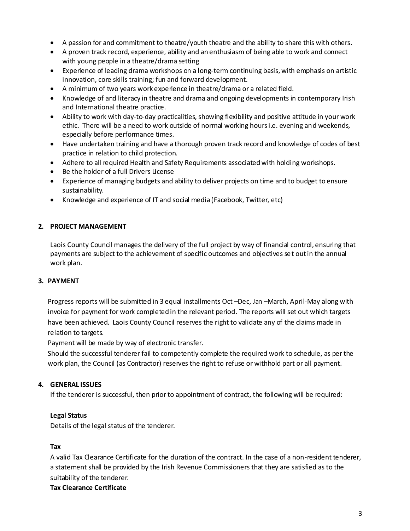- A passion for and commitment to theatre/youth theatre and the ability to share this with others.
- A proven track record, experience, ability and an enthusiasm of being able to work and connect with young people in a theatre/drama setting
- Experience of leading drama workshops on a long-term continuing basis, with emphasis on artistic innovation, core skills training; fun and forward development.
- A minimum of two years work experience in theatre/drama or a related field.
- Knowledge of and literacy in theatre and drama and ongoing developments in contemporary Irish and International theatre practice.
- Ability to work with day-to-day practicalities, showing flexibility and positive attitude in your work ethic. There will be a need to work outside of normal working hours i.e. evening and weekends, especially before performance times.
- Have undertaken training and have a thorough proven track record and knowledge of codes of best practice in relation to child protection.
- Adhere to all required Health and Safety Requirements associated with holding workshops.
- Be the holder of a full Drivers License
- Experience of managing budgets and ability to deliver projects on time and to budget to ensure sustainability.
- Knowledge and experience of IT and social media (Facebook, Twitter, etc)

## **2. PROJECT MANAGEMENT**

Laois County Council manages the delivery of the full project by way of financial control, ensuring that payments are subject to the achievement of specific outcomes and objectives set out in the annual work plan.

## **3. PAYMENT**

Progress reports will be submitted in 3 equal installments Oct –Dec, Jan –March, April-May along with invoice for payment for work completed in the relevant period. The reports will set out which targets have been achieved. Laois County Council reserves the right to validate any of the claims made in relation to targets.

Payment will be made by way of electronic transfer.

Should the successful tenderer fail to competently complete the required work to schedule, as per the work plan, the Council (as Contractor) reserves the right to refuse or withhold part or all payment.

# **4. GENERAL ISSUES**

If the tenderer is successful, then prior to appointment of contract, the following will be required:

# **Legal Status**

Details of the legal status of the tenderer.

## **Tax**

A valid Tax Clearance Certificate for the duration of the contract. In the case of a non-resident tenderer, a statement shall be provided by the Irish Revenue Commissioners that they are satisfied as to the suitability of the tenderer.

## **Tax Clearance Certificate**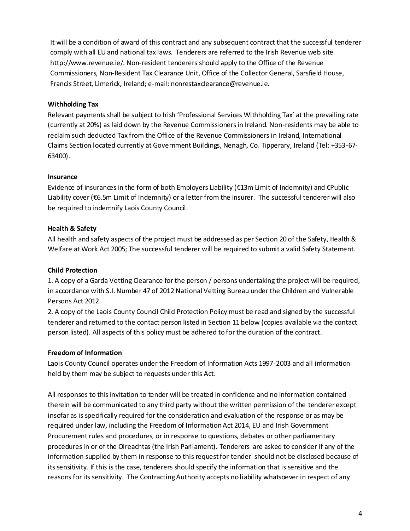It will be a condition of award of this contract and any subsequent contract that the successful tenderer comply with all EU and national tax laws. Tenderers are referred to the Irish Revenue web site http://www.revenue.ie/. Non-resident tenderers should apply to the Office of the Revenue Commissioners, Non-Resident Tax Clearance Unit, Office of the Collector General, Sarsfield House, Francis Street, Limerick, Ireland; e-mail: nonrestaxdearance@revenue.ie.

## **Withholding Tax**

Relevant payments shall be subject to Irish 'Professional Services Withholding Tax' at the prevailing rate (currently at 20%) as laid down by the Revenue Commissioners in Ireland. Non-residents may be able to reclaim such deducted Tax from the Office of the Revenue Commissioners in Ireland, International Claims Section located currently at Government Buildings, Nenagh, Co. Tipperary, Ireland (Tel: +353-67- 63400).

## **Insurance**

Evidence of insurances in the form of both Employers Liability (€13m Limit of Indemnity) and €Public Liability cover (€6.5m Limit of Indemnity) or a letter from the insurer. The successful tenderer will also be required to indemnify Laois County Council.

# **Health & Safety**

All health and safety aspects of the project must be addressed as per Section 20 of the Safety, Health & Welfare at Work Act 2005; The successful tenderer will be required to submit a valid Safety Statement.

# **Child Protection**

1. A copy of a Garda Vetting Clearance for the person / persons undertaking the project will be required, in accordance with S.I. Number 47 of 2012 National Vetting Bureau under the Children and Vulnerable Persons Act 2012.

2. A copy of the Laois County Council Child Protection Policy must be read and signed by the successful tenderer and returned to the contact person listed in Section 11 below (copies available via the contact person listed). All aspects of this policy must be adhered to for the duration of the contract.

# **Freedom of Information**

Laois County Council operates under the Freedom of Information Acts 1997-2003 and all information held by them may be subject to requests under this Act.

All responses to this invitation to tender will be treated in confidence and no information contained therein will be communicated to any third party without the written permission of the tenderer except insofar as is specifically required for the consideration and evaluation of the response or as may be required under law, including the Freedom of Information Act 2014, EU and Irish Government Procurement rules and procedures, or in response to questions, debates or other parliamentary procedures in or of the Oireachtas (the Irish Parliament). Tenderers are asked to consider if any of the information supplied by them in response to this request for tender should not be disclosed because of its sensitivity. If this is the case, tenderers should specify the information that is sensitive and the reasons for its sensitivity. The Contracting Authority accepts no liability whatsoever in respect of any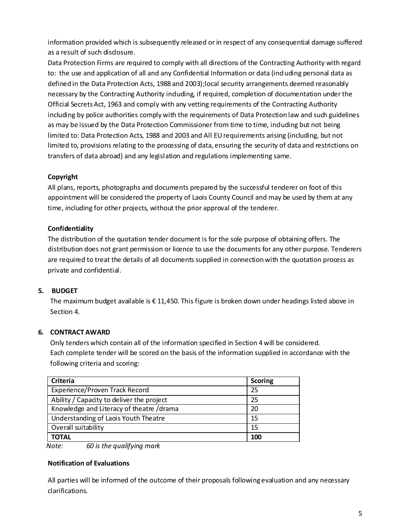information provided which is subsequently released or in respect of any consequential damage suffered as a result of such disdosure.

Data Protection Firms are required to comply with all directions of the Contracting Authority with regard to: the use and application of all and any Confidential Information or data (ind uding personal data as defined in the Data Protection Acts, 1988 and 2003);local security arrangements deemed reasonably necessary by the Contracting Authority including, if required, completion of documentation under the Official Secrets Act, 1963 and comply with any vetting requirements of the Contracting Authority including by police authorities comply with the requirements of Data Protection law and such guidelines as may be issued by the Data Protection Commissioner from time to time, induding but not being limited to: Data Protection Acts, 1988 and 2003 and All EU requirements arising (including, but not limited to, provisions relating to the processing of data, ensuring the security of data and restrictions on transfers of data abroad) and any legislation and regulations implementing same.

# **Copyright**

All plans, reports, photographs and documents prepared by the successful tenderer on foot of this appointment will be considered the property of Laois County Council and may be used by them at any time, including for other projects, without the prior approval of the tenderer.

# **Confidentiality**

The distribution of the quotation tender document is for the sole purpose of obtaining offers. The distribution does not grant permission or licence to use the documents for any other purpose. Tenderers are required to treat the details of all documents supplied in connection with the quotation process as private and confidential.

# **5. BUDGET**

The maximum budget available is € 11,450. This figure is broken down under headings listed above in Section 4.

# **6. CONTRACT AWARD**

Only tenders which contain all of the information specified in Section 4 will be considered. Each complete tender will be scored on the basis of the information supplied in accordance with the following criteria and scoring:

| Criteria                                  | <b>Scoring</b> |
|-------------------------------------------|----------------|
| Experience/Proven Track Record            | 25             |
| Ability / Capacity to deliver the project | 25             |
| Knowledge and Literacy of theatre /drama  | 20             |
| Understanding of Laois Youth Theatre      | 15             |
| Overall suitability                       | 15             |
| <b>TOTAL</b>                              | 100            |

 *Note: 60 is the qualifying mark*

# **Notification of Evaluations**

All parties will be informed of the outcome of their proposals following evaluation and any necessary clarifications.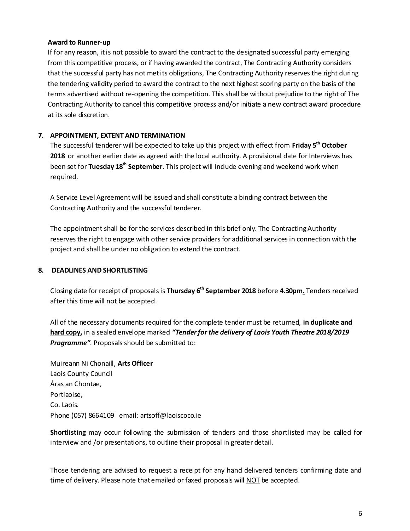#### **Award to Runner-up**

If for any reason, it is not possible to award the contract to the designated successful party emerging from this competitive process, or if having awarded the contract, The Contracting Authority considers that the successful party has not met its obligations, The Contracting Authority reserves the right during the tendering validity period to award the contract to the next highest scoring party on the basis of the terms advertised without re-opening the competition. This shall be without prejudice to the right of The Contracting Authority to cancel this competitive process and/or initiate a new contract award procedure at its sole discretion.

## **7. APPOINTMENT, EXTENT AND TERMINATION**

The successful tenderer will be expected to take up this project with effect from **Friday 5 th October 2018** or another earlier date as agreed with the local authority. A provisional date for Interviews has been set for **Tuesday 18th September**. This project will include evening and weekend work when required.

A Service Level Agreement will be issued and shall constitute a binding contract between the Contracting Authority and the successful tenderer.

The appointment shall be for the services described in this brief only. The Contracting Authority reserves the right to engage with other service providers for additional services in connection with the project and shall be under no obligation to extend the contract.

## **8. DEADLINES AND SHORTLISTING**

Closing date for receipt of proposals is **Thursday 6th September 2018** before **4.30pm.** Tenders received after this time will not be accepted.

All of the necessary documents required for the complete tender must be returned, **in duplicate and hard copy,** in a sealed envelope marked *"Tender for the delivery of Laois Youth Theatre 2018/2019 Programme"*. Proposals should be submitted to:

Muireann Ni Chonaill, **Arts Officer** Laois County Council Áras an Chontae, Portlaoise, Co. Laois. Phone (057) 8664109 email: artsoff@laoiscoco.ie

**Shortlisting** may occur following the submission of tenders and those shortlisted may be called for interview and /or presentations, to outline their proposal in greater detail.

Those tendering are advised to request a receipt for any hand delivered tenders confirming date and time of delivery. Please note that emailed or faxed proposals will NOT be accepted.